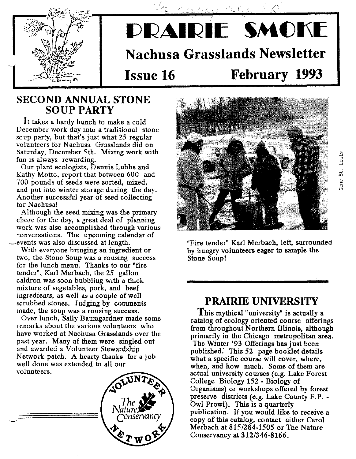

# PRAIRIE SMOKE **Nachusa Grasslands Newsletter Issue 16 February 1993**

### **SECOND ANNUAL STONE** SOUP PARTY

**It** takes a hardy bunch to make a cold December work day into a traditional stone soup party, but that's just what 25 regular volunteers for Nachusa Grasslands did on Saturday, December 5th. Mixing work with fun is always rewarding.

Our plant ecologists, Dennis Lubbs and Kathy Motto, report that between 600 and 700 pounds of seeds were sorted, mixed, and put into winter storage during the day. Another successful year of seed collecting for Nachusal

Although the seed mixing was the primary chore for the day, a great deal of planning work was also accomplished through various conversations. The upcoming calendar of \_\_\_events was also discussed at length.

With everyone bringing an ingredient or two, the Stone Soup was a rousing success for the lunch menu. Thanks to our "fire tender", Karl Merbach, the 25 gallon caldron was soon bubbling with a thick mixture of vegetables, pork, and beef ingredients, as well as a couple of well scrubbed stones. Judging by comments made, the soup was a rousing success.

Over lunch, Sally Baumgardner made some remarks about the various volunteers who have worked at Nachusa Grasslands over the past year. Many of them were singled out and awarded a Volunteer Stewardship Network patch. A hearty thanks for a job well done was extended to all our volunteers.





"Fire tender" Karl Merbach, left, surrounded by hungry volunteers eager to sample the Stone Soup!

### **PRAIRIE UNIVERSITY**

This mythical "university" is actually a catalog of ecology oriented course offerings from throughout Northern Illinois, although primarily in the Chicago metropolitan area. The Winter '93 Offerings has just been published: This 52 page booklet details what a specific course will cover, where, when, and how much. Some of them are actual university courses (e.g, Lake Forest College Biology 152 - Biology of Organisms) or workshops offered by forest preserve districts (e.g. Lake County F.P. - Owl Prowl). This is a quarterly publication. If you would like to receive a copy of this catalog, contact either Carol Merbach at 815/284-1505 or The Nature Conservancy at 312/346-8166.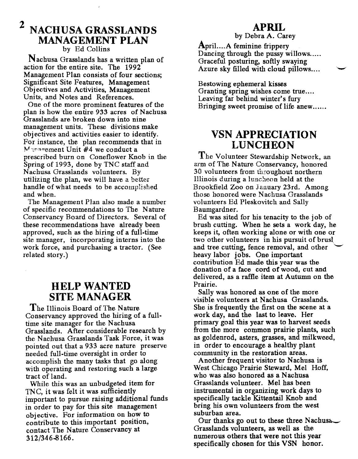### **2 NACHUSA GRASSLANDS** MANAGEMENT PLAN by Ed Collins

Nachusa Grasslands has a written plan of action for the entire site. The 1992 Management Plan consists of four sections; Significant Site Features, Management Obj ectives and Activities, Management Units, and Notes and References.

One of the more prominent features of the plan is how the entire 933 acres of Nachusa Grasslands are broken down into nine management units. These divisions make objectives and activities easier to identify. For instance, the plan recommends that in  $M$ <sup>1</sup>nnoement Unit  $#4$  we conduct a prescribed burn on Coneflower Knob in the Spring of 1993, done by TNC staff and Nachusa Grasslands volunteers. By utilizing the plan, we will have a better handle of what needs to be accomplished and when.

The Management Plan also made a number of specific recommendations to The Nature Conservancy Board of Directors. Several of these recommendations have already been approved, such as the hiring of a full-time site manager, incorporating interns into the work force, and purchasing a tractor. (See related story.)

### **HELP ·WANTED SITE MANAGER**

The Illinois Board of The Nature Conservancy approved the hiring of a fulltime site manager for the Nachusa Grasslands. After considerable research by the Nachusa Grasslands Task Force, it was pointed out that a 933 acre nature preserve needed full-time oversight in order to accomplish the many tasks that go along with operating and restoring such a large tract of land.

While this was an unbudgeted item for TNC, it was felt it was sufficiently important to pursue raising additional funds in order to pay for this site management obj ective. For information on how to contribute to this important position, contact The Nature Conservancy at 312/346-8166.

#### **APRIL**

by Debra A. Carey

April....A feminine frippery Dancing through the pussy willows..... Graceful posturing, softly swaying Azure sky filled with cloud pillows....

Bestowing ephemeral kisses Granting spring wishes come true.... Leaving far behind winter's fury Bringing sweet promise of life anew......

### **VSN APPRECIATION LUNCHEON**

The Volunteer Stewardship Network, an arm of The Nature Conservancy, honored 30 volunteers from throughout northern Illinois during a luncheon held at the Brookfield Zoo on January 23rd. Among those honored were Nachusa Grasslands volunteers Ed Pleskovitch and Sally Baumgardner.

Ed was sited for his tenacity to the job of brush cutting. When he sets a work day, he keeps it, often working alone or with one or two other volunteers in his pursuit of brusl and tree cutting, fence removal, and other heavy labor jobs. One important contribution Ed made this year was the donation of a face cord of wood, cut and delivered, as a raffle item at Autumn on the Prairie.

Sally was honored as one of the more visible volunteers at Nachusa Grasslands. She is frequently the first on the scene at a work day, and the last to leave. Her primary goal this year was to harvest seeds from the more common prairie plants, such as goldenrod, asters, grasses, and milkweed, in order to encourage a healthy plant community in the restoration areas.

Another frequent visitor to Nachusa is West Chicago Prairie Steward, Mel Hoff, who was also honored as a Nachusa Grasslands volunteer. Mel has been instrumental in organizing work days to specifically tackle Kittentail Knob and bring his own volunteers from the west suburban area.

Our thanks go out to these three Nachusa Grasslands volunteers, as well as the numerous others that were not this year specifically chosen for this VSN honor.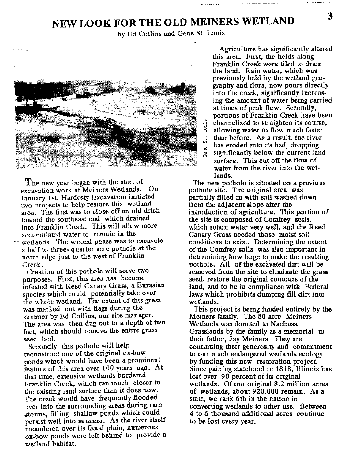### **NEW LOOK FOR THE OLD MEINERS WETLAND**

by Ed Collins and Gene St. Louis



The new year began with the start of excavation work at Meiners Wetlands. On January 1st, Hardesty Excavation initiated two projects to help restore this wetland area. The first was to close off an old ditch toward the southeast end which drained into Franklin Creek. This will allow more accumulated water to remain in the -' wetlands. The second phase was to excavate a half to three- quarter acre pothole at the north edge just to the west of Franklin Creek.

Creation of this pothole will serve two purposes. First, this area has become infested with Reed Canary Grass, a Eurasian species which could potentially take over the whole wetland. The extent of this grass was marked out with flags during the summer by Ed Collins, our site manager. The area was then dug out to a depth of two feet, which should remove the entire grass seed bed.

Secondly, this pothole will help reconstruct one of the original ox-bow ponds which would have been a prominent feature of this area over 100 years ago. At that time, extensive wetlands bordered Franklin Creek, which ran much closer to the existing land surface than it does now. The creek would have frequently flooded have verticed the surrounding areas during rain storms, filling shallow ponds which could persist well into summer. As the river itself meandered over its flood plain, numerous ox-bow ponds were left behind to provide a wetland habitat.

Agriculture has significantly altered this area. First, the fields along Franklin Creek were tiled to drain the land. Rain water, which was previously held by the wetland geography and flora, now pours directly into the creek, significantly increasing the amount of water being carried at times of peak flow. Secondly, portions of Franklin Creek have been  $\frac{16}{3}$  channelized to straighten its course,<br>allowing water to flow much faster allowing water to flow much faster  $\frac{1}{60}$  than before. As a result, the river  $\frac{60}{9}$  has eroded into its bed, dropping<br> $\frac{6}{9}$  significantly below the current lare significantly below the current land surface. This cut off the flow of water from the river into the wetlands.

The new pothole is situated on a previous pothole site. The original area was partially filled in with soil washed down from the adj acent slope after the introduction of agriculture. This portion of the site is composed of Comfrey soils, which retain water very well, and the Reed Canary Grass needed those moist soil conditions to exist. Determining the extent of the Comfrey soils was also important in determining how large to make the resulting pothole. All of the excavated dirt will be removed from the site to eliminate the grass seed, restore the original contours of the land, and to be in compliance with Federal laws which prohibits dumping fill dirt into wetlands.

This project is being funded entirely by the Meiners family. The 80 acre Meiners Wetlands was donated to Nachusa Grasslands by the family as a memorial to their father, Jay Meiners. They are continuing their generosity and commitment to our much endangered wetlands ecology by funding this new restoration project. Since gaining statehood in 1818, Illinois has lost over 90 percent of its original wetlands. Of our original 8.2 million acres of wetlands, about 920,000 remain. As a state, we rank 6th in the nation in converting wetlands to other use. Between 4 to 6 thousand additional acres continue to be lost every year.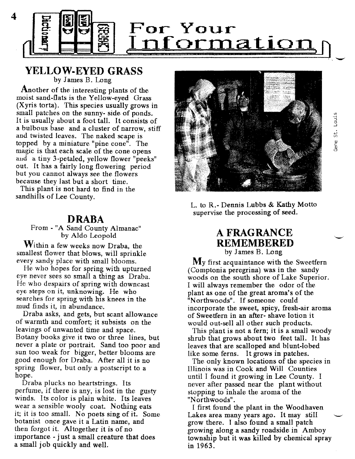

#### **YELLOW-EYED GRASS** by James B. Long

Another of the interesting plants of the moist sand-flats is the Yellow-eyed Grass (Xyris torta), This species usually grows in small patches on the sunny- side of ponds. It is usually about a foot tall. It consists of a bulbous base and a cluster of narrow, stiff and twisted leaves. The naked scape is topped by a miniature "pine cone". The magic is that each scale of the cone opens and a tiny 3-petaled, yellow flower "peeks" out. It has a fairly long flowering period but you cannot always see the flowers because they last but a short time.

This plant is not hard to find in the sandhills of Lee County.

#### **DRABA**

From - "A Sand County Almanac" by Aldo Leopold

Within a few weeks now Draba, the smallest flower that blows, will sprinkle every sandy place with small blooms.

He who hopes for spring with upturned eye never sees so small a thing as Draba. He who despairs of spring with downcast eye steps on it, unknowing. He who searches for spring with his knees in the mud finds it, in abundance.

Draba asks, and gets, but scant allowance of warmth and comfort; it subsists on the leavings of unwanted time and space. Botany books give it two or three lines, but never a plate or portrait. Sand too poor and sun too weak for bigger, better blooms are good enough for Draba. After all it is no spring flower, but only a postscript to a hope.

Draba plucks no heartstrings. Its perfume, if there is any, is lost in the gusty winds. Its color is plain white. Its leaves wear a sensible wooly coat. Nothing eats it; it is too small. No poets sing of it. Some botanist once gave it a Latin name, and then forgot it. Altogether it is of no importance - just a small creature that does a small job quickly and well.



L. to R.- Dennis Lubbs & Kathy Motto supervise the processing of seed.

### A FRAGRANCE **REMEMBERED**

by James B. Long

My first acquaintance with the Sweetfern (Comptonia peregrina) was in the sandy woods on the south shore of Lake Superior. Iwill always remember the odor of the plant as one of the great aroma's of the "Northwoods''. If someone could incorporate the sweet, spicy, fresh-air aroma of Sweetfern in an after- shave lotion it would out-sell all other such products.

This plant is not a fern; it is a small woody shrub that grows about two feet tall. It has leaves that are scalloped and blunt-lobed like some ferns. I<sup>t</sup> grows in patches.

The only known locations of the species in Illinois was in Cook and Will Counties until I found it growing in Lee County. I never after passed near the plant without stopping to inhale the aroma of the "Northwoods" .

I first found the plant in the Woodhaven Lakes area many years ago. It may still grow there. I also found <sup>a</sup> small patch growing along a sandy roadside in Amboy township but it was killed by chemical spray in 1963.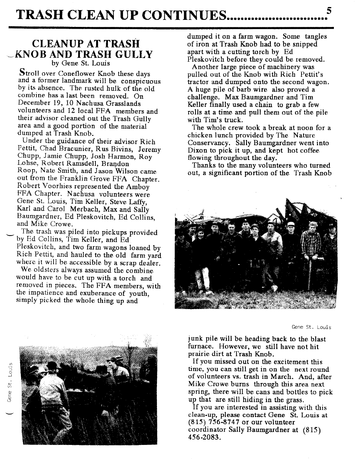### **CLEANUP AT TRASH** ~KNOB **AND TRASH GULLY**

by Gene *St.* Louis

Stroll over Coneflower Knob these days and a former landmark will be conspicuous by its absence. The rusted hulk of the old combine has a last been removed. On December 19, 10 Nachusa Grasslands volunteers and 12 local FFA members and their advisor cleaned out the Trash Gully area and a good portion of the material dumped at Trash Knob.

Under the guidance of their advisor Rich Pettit, Chad Bracunier, Rus Bivins, Jeremy Chupp, Jamie Chupp, Josh Harmon, Roy Lohse, Robert Ramsdell, Brandon Roop, Nate Smith, and Jason Wilson came out from the Franklin Grove *FFA* Chapter. Robert Voorhies represented the Amboy FFA Chapter. Nachusa volunteers were Gene *St.* Louis, Tim Keller, Steve Laffy, Karl and Carol Merbach, Max and Sally Baumgardner, Ed Pleskovitch, Ed Collins, and Mike Crowe.

The trash was piled into pickups provided by Ed Collins, Tim Keller, and Ed Pleskovitch, and two farm wagons loaned by Rich Pettit, and hauled to the old farm yard where it will be accessible by a scrap dealer.

We oldsters always assumed the combine would have to be cut up with a torch and removed in pieces. The FFA members, with the impatience and exuberance of youth, simply picked the whole thing up and

dumped it on a farm wagon. Some tangles of iron at Trash Knob had to be snipped apart with a cutting torch by Ed Pleskovitch before they could be removed.

Another large piece of machinery was pulled out of the Knob with Rich Pettit's tractor and dumped onto the second wagon. A huge pile of barb wire also proved a challenge. Max Baumgardner and Tim Keller finally used a chain to grab a few rolls at a time and pull them out of the pile with Tim's truck.

The whole crew took a break at noon for a chicken lunch provided by The Nature Conservancy. Sally Baumgardner went into Dixon to pick it up, and kept hot coffee flowing throughout the day.

Thanks to the many volunteers who turned out, a significant portion of the Trash Knob



Gene st. Louis



junk pile will be heading back to the blast furnace. However, we still have not hit prairie dirt at Trash Knob.

If you missed out on the excitement this time, you can still get in on the next round of volunteers vs. trash in March. And, after Mike Crowe burns through this area next spring, there will be cans and bottles to pick up that are still hiding in the grass.

If you are interested in assisting with this clean-up, please contact Gene St. Louis at (815) 756·8747 or our volunteer coordinator Sally Baumgardner at (815) 456-2083.

+-' *en*

Gene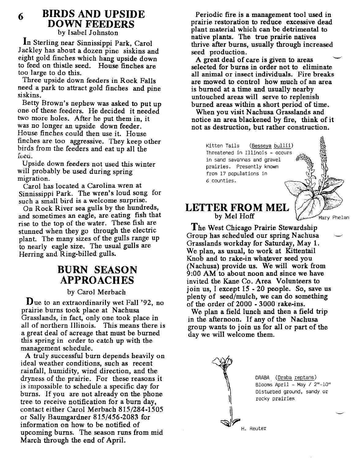#### **BIRDS AND UPSIDE DOWN FEEDERS** 6

by Isabel Johnston

**In** Sterling near Sinnissippi Park, Carol Jackley has about a dozen pine siskins and eight gold finches which hang upside down to feed on thistle seed. House finches are too large to do this.

Three upside down feeders in Rock Falls need a park to attract gold finches and pine siskins,

Betty Brown's nephew was asked to put up one of these feeders. He decided it needed two more holes. After he put them in, it was no longer an upside down feeder. House finches could then use it. House finches are too aggressive. They keep other birds from the feeders and eat up all the feed.

Upside down feeders not used this winter will probably be used during spring migration.

Carol has located a Carolina wren at Sinnissippi Park. The wren's loud song for such a small bird is a welcome surprise.

On Rock River sea gulls by the hundreds, and sometimes an eagle, are eating fish that rise to the top of the water. These fish are stunned when they go through the electric plant. The many sizes of the gulls range up to nearly eagle size. The usual gulls are Herring and Ring-billed gulls.

### **BURN SEASON APPROACHES**

#### by Carol Merbach

Due to an extraordinarily wet Fall '92, no prairie burns took place at Nachusa Grasslands, in fact, only one took place in all of northern Illinois. This means there is a great deal of acreage that must be burned this spring in order to catch up with the management schedule.

A truly successful burn depends heavily on ideal weather conditions, such as recent rainfall, humidity, wind direction, and the dryness of the prairie. For these reasons it is impossible to schedule a specific day for burns. If you are not already on the phone tree to receive notification for a burn day, contact either Carol Merbach 815/284-1505 or Sally Baumgardner 815/456-2083 for information on how to be notified of upcoming burns. The season runs from mid March through the end of April.

Periodic fire is a management tool used in prairie restoration to reduce excessive dead plant material which can be detrimental to native plants. The true prairie natives thrive after burns, usually through increased seed production.

A great deal of care is given to areas selected for burns in order not to eliminate all animal or insect individuals. Fire breaks are mowed to control how much of an area is burned at a time and usually nearby untouched areas will serve to replenish burned areas within a short period of time.

When you visit Nachusa Grasslands and notice an area blackened by fire, think of it not as destruction, but rather construction.

Kitten Tails (Besseya bullii) Threatened in Illinois - occurs in sand savannas and gravel prairies. Presently known from 17 populations in 6 counties.

#### **LETTER FROM MEL** by Mel Hoff

The West Chicago Prairie Stewardship Group has scheduled our spring Nachusa Grasslands workday for Saturday, May 1. We plan, as usual, to work at Kittentail Knob and to rake-in whatever seed you (Nachusa) provide us. We will work from  $9:00$  AM to about noon and since we have invited the Kane Co. Area Volunteers to join us, I except 15 - 20 people. So, save us plenty of seed/mulch, we can do something of the order of 2000 - 3000 rake-ins.

We plan a field lunch and then a field trip in the afternoon. If any of the Nachusa group wants to join us for all or part of the day we will welcome them.



DRABA (Draba reptans) Blooms April - May / 2"-10" Disturbed ground, sandy or rocky prairies

.<br>Marv Phelan

H. Reuter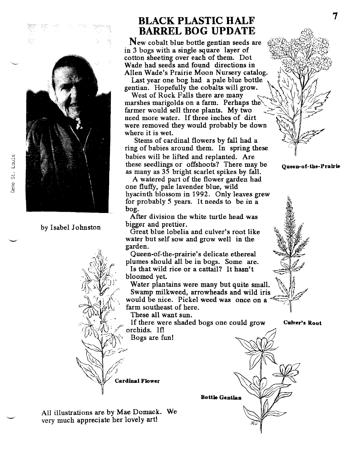



by Isabel Johnston

### **BLACK PLASTIC HALF BARREL BOG UPDATE**

New cobalt blue bottle gentian seeds are  $in 3$  bogs with a single square layer of cotton sheeting over each of them. Dot Wade had seeds and found directions in Allen Wade's Prairie Moon Nursery catalog. \~

Last year one bog had a pale blue bottle  $\overline{a}$ gentian. Hopefully the cobalts will grow.

West of Rock Falls there are many marshes marigolds on a farm. Perhaps the farmer would sell three plants. My two need more water. If three inches of dirt were removed they would probably be down where it is wet.

Stems of cardinal flowers by fall had a ring of babies around them. In spring these babies will be lifted and replanted. Are these seedlings or offshoots? There may be as many as 35 bright scarlet spikes by fall.

A watered part of the flower garden had one fluffy, pale lavender blue, wild hyacinth blossom in 1992. Only leaves grew for probably 5 years. It needs to be in a bog.

After division the white turtle head was bigger and prettier.

Great blue lobelia and culver's root like water but self sow and grow well in the garden.

Queen-of-the-prairie's delicate ethereal plumes should all be in bogs. Some are. Is that wild rice or a cattail? It hasn't

bloomed yet.

Water plantains were many but quite small. Swamp milkweed, arrowheads and wild iris would be nice. Pickel weed was once on a farm southeast of here.

*~'\'I\l~* These all want sun.

If there were shaded bogs one could grow orchids. If!<br>Bogs are fun!

**Cardinal Flower** 

All illustrations are by Mae Domack. We

very much appreciate her lovely art!





7

Queen-of.the-Pralrie

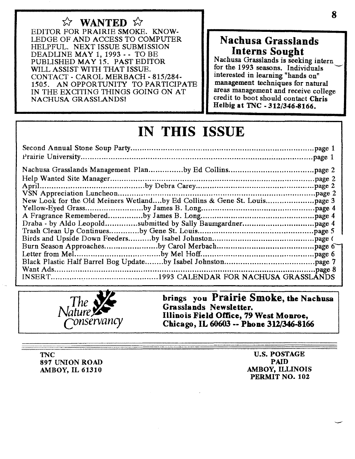*w* WANTED *W* EDITOR FOR PRAIRIE SMOKE. KNOW-LEDGE OF AND ACCESS TO COMPUTER HELPFUL. NEXT ISSUE SUBMISSION DEADLINE MAY 1, 1993 - - TO BE PUBLISHED MAY 15. PAST EDITOR WILL ASSIST WITH THAT ISSUE. CONTACT - CAROL MERBACH - 815/284- 1505. AN OPPORTUNITY TO PARTICIPATE IN THE EXCITING THINGS GOING ON AT NACHUSA GRASSLANDS!

### Nachusa Grasslands Interns Sought

Nachusa Grasslands is seeking intern for the 1993 seasons. Individuals interested in learning "hands on" management techniques for natural areas management and receive college credit to boot should contact Chris Helbig at TNe - 312/346-8166.

## IN THIS ISSUE



brings you Prairie Smoke, the Nachusa Grasslands Newsletter. Illinois Field Office, 79 West Monroe, Chicago, IL 60603 -- Phone 312/346-8166

**TNC** 897 UNION ROAD AMBOY, IL 61310

u.s. POSTAGE PAID AMBOY, ILLINOIS PERMIT NO. 102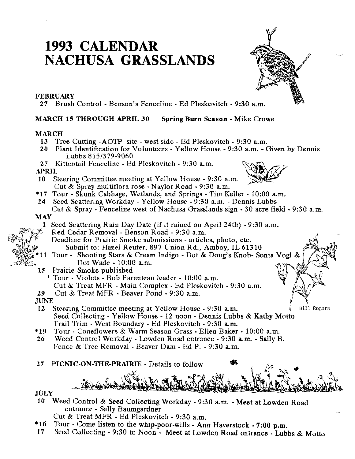### **1993 CALENDAR NACHUSA GRASSLANDS**

#### FEBRUARY

27 Brush Control - Benson's Fenceline - Ed Pleskovitch - 9:30 a.m.

#### MARCH 15 THROUGH APRIL 30 Spring Burn Season - Mike Crowe

#### MARCH

- 13 Tree Cutting -AOTP site west side Ed Pleskovitch 9:30 a.m.
- 20 Plant Identification for Volunteers Yellow House 9:30 a.m. Given by Dennis Lubbs 815/379-9060
- 27 Kittentail Fenceline Ed Pleskovitch 9:30 a.m.<br>APRIL  $APRIL$   $APRIL$

- 10 Steering Committee meeting at Yellow House 9:30 a.m. Cut & Spray multiflora rose - Naylor Road - 9:30 a.m.
- \*17 Tour Skunk Cabbage, Wetlands, and Springs Tim Keller 10:00 a.m.
- 24 Seed Scattering Workday Yellow House 9:30 a.m. Dennis Lubbs Cut & Spray - Fenceline west of Nachusa Grasslands sign  $-30$  acre field  $-9:30$  a.m.

#### MAY

- 1 Seed Scattering Rain Day Date (if it rained on April 24th) 9:30 a.m.
- Red Cedar Removal » Benson Road 9:30 a.m.
	- Deadline for Prairie Smoke submissions articles, photo, etc. Submit to: Hazel Reuter, 897 Union Rd., Amboy, IL 61310
- Tour Shooting Stars & Cream Indigo Dot & Doug's Knob- Sonia Vogi & 11 Dot Wade - 10:00 a.m.
- 15 Prairie Smoke published
	- \* Tour » Violets Bob Parenteau leader 10:00 a.m.
	- Cut & Treat MFR Main Complex. Ed Pleskovitch 9:30 a.m.
- 29 Cut & Treat MFR Beaver Pond 9:30 a.m.

JUNE

- 12 Steering Committee meeting at Yellow House 9:30 a.m. **Bill Rogers** Seed Collecting - Yellow House - 12 noon - Dennis Lubbs & Kathy Motto Trail Trim - West Boundary - Ed Pleskovitch - 9:30 a.m.
- \*19 Tour Coneflowers & Warm Season Grass Ellen Baker » 10:00 a.m.
- 26 Weed Control Workday Lowden Road entrance 9:30 a.m.• Sally B. Fence & Tree Removal - Beaver Dam - Ed P. - 9:30 a.m.
- 27 PICNIC-ON-THE-PRAIRIE Details to follow
- JULY
- 10 Weed Control & Seed Collecting Workday 9:30 a.m.• Meet at Lowden Road entrance - Sally Baumgardner

Cut & Treat MFR - Ed Pleskovitch . 9:30 a.m.

- \*16 Tour Come listen to the whip-poor-wills Ann Haverstock . 7:00 p.m,
- 17 Seed Collecting 9:30 to Noon Meet at Lowden Road entrance· Lubbs & Motto